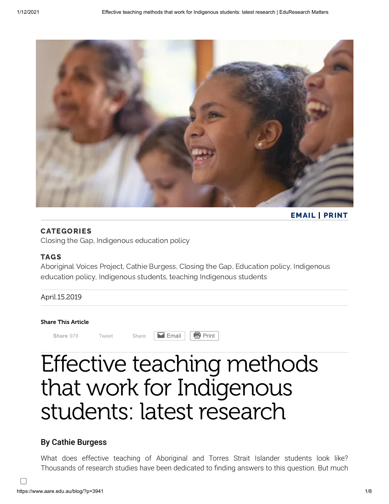

[EMAIL](mailto:) | [PRINT](javascript:window.print();)

### CATEGORIES

[Closing](https://www.aare.edu.au/blog/?cat=381) the Gap, [Indigenous](https://www.aare.edu.au/blog/?cat=39) education policy

#### TAGS

[Aboriginal](https://www.aare.edu.au/blog/?tag=aboriginal-voices-project) Voices Project, Cathie [Burgess](https://www.aare.edu.au/blog/?tag=cathie-burgess), [Closing](https://www.aare.edu.au/blog/?tag=closing-the-gap) the Gap, [Education](https://www.aare.edu.au/blog/?tag=education-policy) policy, Indigenous education policy, [Indigenous](https://www.aare.edu.au/blog/?tag=indigenous-students) [students, teaching](https://www.aare.edu.au/blog/?tag=indigenous-education-policy) [Indigenous](https://www.aare.edu.au/blog/?tag=teaching-indigenous-students) students

### April.15.2019

#### Share This Article

**[Share](https://www.facebook.com/sharer/sharer.php?kid_directed_site=0&sdk=joey&u=https%3A%2F%2Fwww.aare.edu.au%2Fblog%2F%3Fp%3D3941&display=popup&ref=plugin&src=share_button)** 978 [Tweet](https://twitter.com/intent/tweet?original_referer=https%3A%2F%2Fwww.aare.edu.au%2F&ref_src=twsrc%5Etfw&text=Effective%20teaching%20methods%20that%20work%20for%20Indigenous%20students%3A%20latest%20research&tw_p=tweetbutton&url=https%3A%2F%2Fwww.aare.edu.au%2Fblog%2F%3Fp%3D3941&via=AustAssocResEd) Share **Example [Email](https://www.aare.edu.au/blog/?p=3941&share=email&nb=1) Print** 

# Effective teaching methods that work for Indigenous students: latest research

# By Cathie Burgess

What does effective teaching of Aboriginal and Torres Strait Islander students look like? Thousands of research studies have been dedicated to finding answers to this question. But much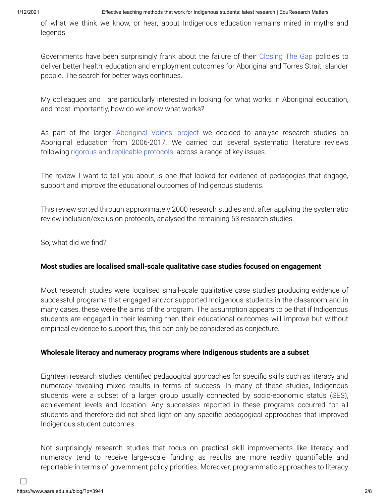of what we think we know, or hear, about Indigenous education remains mired in myths and legends.

Governments have been surprisingly frank about the failure of their [Closing The Gap](https://closingthegap.pmc.gov.au/) policies to deliver better health, education and employment outcomes for Aboriginal and Torres Strait Islander people. The search for better ways continues.

My colleagues and I are particularly interested in looking for what works in Aboriginal education, and most importantly, how do we know what works?

As part of the larger ['Aboriginal Voices' project](https://www.researchgate.net/project/Aboriginal-voices-Educational-insights-for-transformative-change) we decided to analyse research studies on Aboriginal education from 2006-2017. We carried out several systematic literature reviews following [rigorous and replicable protocols](https://www.researchgate.net/publication/331500096_) across a range of key issues.

The review I want to tell you about is one that looked for evidence of pedagogies that engage, support and improve the educational outcomes of Indigenous students.

This review sorted through approximately 2000 research studies and, after applying the systematic review inclusion/exclusion protocols, analysed the remaining 53 research studies.

So, what did we find?

### **Most studies are localised small-scale qualitative case studies focused on engagement**

Most research studies were localised small-scale qualitative case studies producing evidence of successful programs that engaged and/or supported Indigenous students in the classroom and in many cases, these were the aims of the program. The assumption appears to be that if Indigenous students are engaged in their learning then their educational outcomes will improve but without empirical evidence to support this, this can only be considered as conjecture.

#### **Wholesale literacy and numeracy programs where Indigenous students are a subset**

Eighteen research studies identified pedagogical approaches for specific skills such as literacy and numeracy revealing mixed results in terms of success. In many of these studies, Indigenous students were a subset of a larger group usually connected by socio-economic status (SES), achievement levels and location. Any successes reported in these programs occurred for all students and therefore did not shed light on any specific pedagogical approaches that improved Indigenous student outcomes.

Not surprisingly research studies that focus on practical skill improvements like literacy and numeracy tend to receive large-scale funding as results are more readily quantifiable and reportable in terms of government policy priorities. Moreover, programmatic approaches to literacy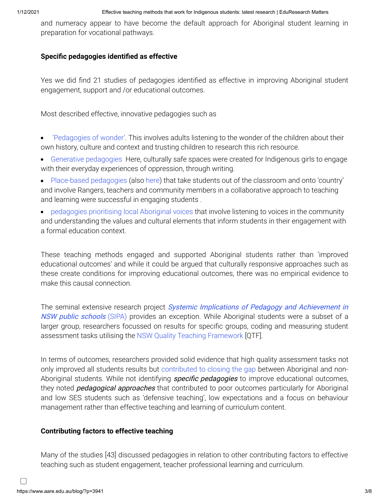and numeracy appear to have become the default approach for Aboriginal student learning in preparation for vocational pathways.

#### **Specific pedagogies identified as effective**

Yes we did find 21 studies of pedagogies identified as effective in improving Aboriginal student engagement, support and /or educational outcomes.

Most described effective, innovative pedagogies such as

- ['Pedagogies of wonder'.](https://core.ac.uk/download/pdf/46935928.pdf) This involves adults listening to the wonder of the children about their own history, culture and context and trusting children to research this rich resource.
- [Generative pedagogies](https://www.researchgate.net/publication/254335049_Poetry_and_prose_as_pedagogical_tools_for_addressing_difficult_knowledges_Translocational_positionality_and_issues_of_collective_political_agency) Here, culturally safe spaces were created for Indigenous girls to engage with their everyday experiences of oppression, through writing.
- [Place-based pedagogies](https://openresearch-repository.anu.edu.au/handle/1885/13422) (also [here](https://www.nintione.com.au/?p=5526)) that take students out of the classroom and onto 'country' and involve Rangers, teachers and community members in a collaborative approach to teaching and learning were successful in engaging students .
- [pedagogies prioritising local Aboriginal voices](https://www.cambridge.org/core/journals/australian-journal-of-indigenous-education/article/learning-versus-education-rethinking-learning-in-anangu-schools/E2DF0EC55EF561F99DEE57CCFC7EC126) that involve listening to voices in the community and understanding the values and cultural elements that inform students in their engagement with a formal education context.

These teaching methods engaged and supported Aboriginal students rather than 'improved educational outcomes' and while it could be argued that culturally responsive approaches such as these create conditions for improving educational outcomes, there was no empirical evidence to make this causal connection.

The seminal extensive research project *Systemic Implications of Pedagogy and Achievement in* NSW public schools (SIPA) [provides an exception. While Aboriginal students were a subset of a](https://s3.amazonaws.com/academia.edu.documents/3623458/amo07284.pdf?AWSAccessKeyId=AKIAIWOWYYGZ2Y53UL3A&Expires=1554342311&Signature=LEk7dCkbOosFOnx1Rk3NhBb%2Fo9E%3D&response-content-disposition=inline%3B%20filename%3DEquity_effects_of_Quality_Teaching_Closi.pdf) larger group, researchers focussed on results for specific groups, coding and measuring student assessment tasks utilising the [NSW Quality Teaching Framework](https://theelements.schools.nsw.gov.au/introduction-to-the-elements/policy-reforms-and-focus-areas/quality-teaching-framework.html) [QTF].

In terms of outcomes, researchers provided solid evidence that high quality assessment tasks not only improved all students results but [contributed to closing the gap](https://www.academia.edu/655855/Equity_effects_of_Quality_Teaching_Closing_the_gap) between Aboriginal and non-Aboriginal students. While not identifying *specific pedagogies* to improve educational outcomes, they noted *pedagogical approaches* that contributed to poor outcomes particularly for Aboriginal and low SES students such as 'defensive teaching', low expectations and a focus on behaviour management rather than effective teaching and learning of curriculum content.

### **Contributing factors to effective teaching**

Many of the studies [43] discussed pedagogies in relation to other contributing factors to effective teaching such as student engagement, teacher professional learning and curriculum.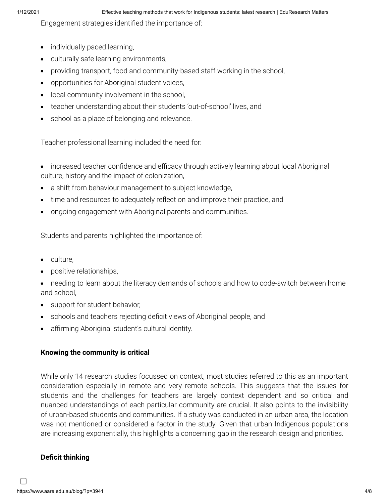Engagement strategies identified the importance of:

- individually paced learning,
- culturally safe learning environments,
- providing transport, food and community-based staff working in the school,
- opportunities for Aboriginal student voices,
- local community involvement in the school,
- teacher understanding about their students 'out-of-school' lives, and
- school as a place of belonging and relevance.

Teacher professional learning included the need for:

- increased teacher confidence and efficacy through actively learning about local Aboriginal culture, history and the impact of colonization,
- a shift from behaviour management to subject knowledge,
- time and resources to adequately reflect on and improve their practice, and
- ongoing engagement with Aboriginal parents and communities.

Students and parents highlighted the importance of:

- culture,
- positive relationships,
- needing to learn about the literacy demands of schools and how to code-switch between home and school,
- support for student behavior,
- schools and teachers rejecting deficit views of Aboriginal people, and
- affirming Aboriginal student's cultural identity.

### **Knowing the community is critical**

While only 14 research studies focussed on context, most studies referred to this as an important consideration especially in remote and very remote schools. This suggests that the issues for students and the challenges for teachers are largely context dependent and so critical and nuanced understandings of each particular community are crucial. It also points to the invisibility of urban-based students and communities. If a study was conducted in an urban area, the location was not mentioned or considered a factor in the study. Given that urban Indigenous populations are increasing exponentially, this highlights a concerning gap in the research design and priorities.

## **Deficit thinking**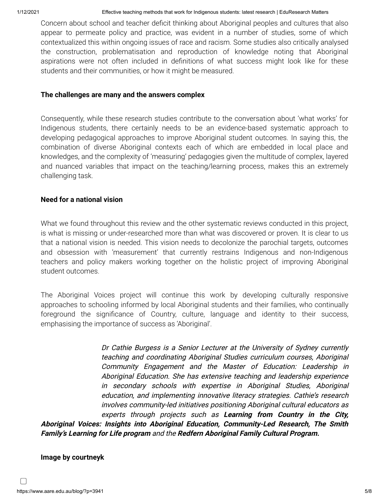Concern about school and teacher deficit thinking about Aboriginal peoples and cultures that also appear to permeate policy and practice, was evident in a number of studies, some of which contextualized this within ongoing issues of race and racism. Some studies also critically analysed the construction, problematisation and reproduction of knowledge noting that Aboriginal aspirations were not often included in definitions of what success might look like for these students and their communities, or how it might be measured.

#### **The challenges are many and the answers complex**

Consequently, while these research studies contribute to the conversation about 'what works' for Indigenous students, there certainly needs to be an evidence-based systematic approach to developing pedagogical approaches to improve Aboriginal student outcomes. In saying this, the combination of diverse Aboriginal contexts each of which are embedded in local place and knowledges, and the complexity of 'measuring' pedagogies given the multitude of complex, layered and nuanced variables that impact on the teaching/learning process, makes this an extremely challenging task.

#### **Need for a national vision**

What we found throughout this review and the other systematic reviews conducted in this project, is what is missing or under-researched more than what was discovered or proven. It is clear to us that a national vision is needed. This vision needs to decolonize the parochial targets, outcomes and obsession with 'measurement' that currently restrains Indigenous and non-Indigenous teachers and policy makers working together on the holistic project of improving Aboriginal student outcomes.

The Aboriginal Voices project will continue this work by developing culturally responsive approaches to schooling informed by local Aboriginal students and their families, who continually foreground the significance of Country, culture, language and identity to their success, emphasising the importance of success as 'Aboriginal'.

Dr Cathie Burgess is a Senior Lecturer at the University of Sydney currently teaching and coordinating Aboriginal Studies curriculum courses, Aboriginal Community Engagement and the Master of Education: Leadership in Aboriginal Education. She has extensive teaching and leadership experience in secondary schools with expertise in Aboriginal Studies, Aboriginal education, and implementing innovative literacy strategies. Cathie's research involves community-led initiatives positioning Aboriginal cultural educators as experts through projects such as **Learning from Country in the City, Aboriginal Voices: Insights into Aboriginal Education, Community-Led Research, The Smith Family's Learning for Life program** and the **Redfern Aboriginal Family Cultural Program.**

#### **Image by courtneyk**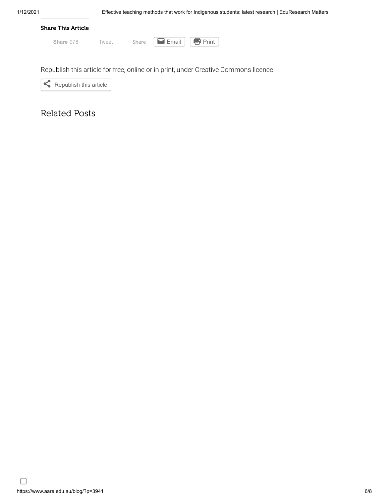

Republish this article for free, online or in print, under Creative Commons licence.



# Related Posts